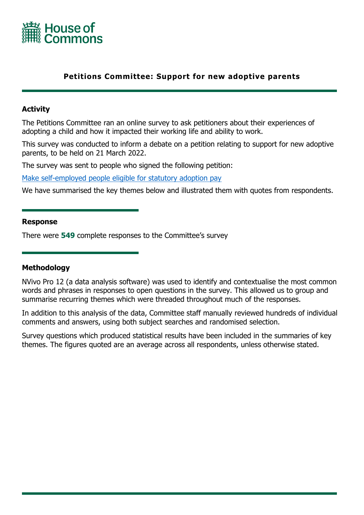

## **Petitions Committee: Support for new adoptive parents**

### **Activity**

The Petitions Committee ran an online survey to ask petitioners about their experiences of adopting a child and how it impacted their working life and ability to work.

This survey was conducted to inform a debate on a petition relating to support for new adoptive parents, to be held on 21 March 2022.

The survey was sent to people who signed the following petition:

[Make](https://petition.parliament.uk/petitions/601323) [self-employed](https://petition.parliament.uk/petitions/601323) [people](https://petition.parliament.uk/petitions/601323) [eligible](https://petition.parliament.uk/petitions/601323) [for](https://petition.parliament.uk/petitions/601323) [statutory](https://petition.parliament.uk/petitions/601323) [adoption](https://petition.parliament.uk/petitions/601323) [pay](https://petition.parliament.uk/petitions/601323)

We have summarised the key themes below and illustrated them with quotes from respondents.

#### **Response**

There were **549** complete responses to the Committee's survey

#### **Methodology**

NVivo Pro 12 (a data analysis software) was used to identify and contextualise the most common words and phrases in responses to open questions in the survey. This allowed us to group and summarise recurring themes which were threaded throughout much of the responses.

In addition to this analysis of the data, Committee staff manually reviewed hundreds of individual comments and answers, using both subject searches and randomised selection.

Survey questions which produced statistical results have been included in the summaries of key themes. The figures quoted are an average across all respondents, unless otherwise stated.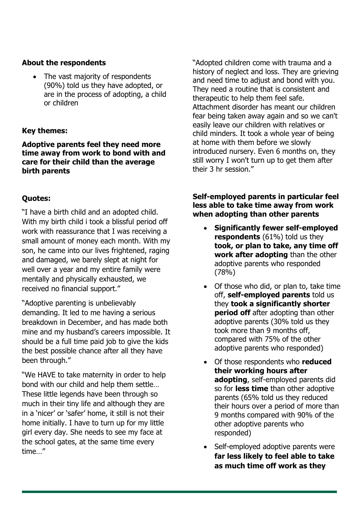## **About the respondents**

 The vast majority of respondents (90%) told us they have adopted, or are in the process of adopting, a child or children

## **Key themes:**

**Adoptive parents feel they need more time away from work to bond with and care for their child than the average birth parents**

## **Quotes:**

"I have a birth child and an adopted child. With my birth child i took a blissful period off work with reassurance that I was receiving a small amount of money each month. With my son, he came into our lives frightened, raging and damaged, we barely slept at night for well over a year and my entire family were mentally and physically exhausted, we received no financial support."

"Adoptive parenting is unbelievably demanding. It led to me having a serious breakdown in December, and has made both mine and my husband's careers impossible. It should be a full time paid job to give the kids the best possible chance after all they have been through."

"We HAVE to take maternity in order to help bond with our child and help them settle… These little legends have been through so much in their tiny life and although they are in a 'nicer' or 'safer' home, it still is not their home initially. I have to turn up for my little girl every day. She needs to see my face at the school gates, at the same time every time…"

"Adopted children come with trauma and a history of neglect and loss. They are grieving and need time to adjust and bond with you. They need a routine that is consistent and therapeutic to help them feel safe. Attachment disorder has meant our children fear being taken away again and so we can't easily leave our children with relatives or child minders. It took a whole year of being at home with them before we slowly introduced nursery. Even 6 months on, they still worry I won't turn up to get them after their 3 hr session."

### **Self-employed parents in particular feel less able to take time away from work when adopting than other parents**

- **Significantly fewer self-employed respondents** (61%) told us they **took, or plan to take, any time off work after adopting** than the other adoptive parents who responded (78%)
- Of those who did, or plan to, take time off, **self-employed parents** told us they **took a significantly shorter period off** after adopting than other adoptive parents (30% told us they took more than 9 months off, compared with 75% of the other adoptive parents who responded)
- Of those respondents who **reduced their working hours after adopting**, self-employed parents did so for **less time** than other adoptive parents (65% told us they reduced their hours over a period of more than 9 months compared with 90% of the other adoptive parents who responded)
- Self-employed adoptive parents were **far less likely to feel able to take as much time off work as they**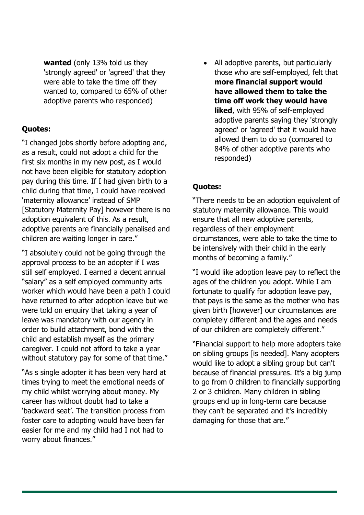**wanted** (only 13% told us they 'strongly agreed' or 'agreed' that they were able to take the time off they wanted to, compared to 65% of other adoptive parents who responded)

## **Quotes:**

"I changed jobs shortly before adopting and, as a result, could not adopt a child for the first six months in my new post, as I would not have been eligible for statutory adoption pay during this time. If I had given birth to a child during that time, I could have received 'maternity allowance' instead of SMP [Statutory Maternity Pay] however there is no adoption equivalent of this. As a result, adoptive parents are financially penalised and children are waiting longer in care."

"I absolutely could not be going through the approval process to be an adopter if I was still self employed. I earned a decent annual "salary" as a self employed community arts worker which would have been a path I could have returned to after adoption leave but we were told on enquiry that taking a year of leave was mandatory with our agency in order to build attachment, bond with the child and establish myself as the primary caregiver. I could not afford to take a year without statutory pay for some of that time."

"As s single adopter it has been very hard at times trying to meet the emotional needs of my child whilst worrying about money. My career has without doubt had to take a 'backward seat'. The transition process from foster care to adopting would have been far easier for me and my child had I not had to worry about finances."

 All adoptive parents, but particularly those who are self-employed, felt that **more financial support would have allowed them to take the time off work they would have liked**, with 95% of self-employed adoptive parents saying they 'strongly agreed' or 'agreed' that it would have allowed them to do so (compared to 84% of other adoptive parents who responded)

# **Quotes:**

"There needs to be an adoption equivalent of statutory maternity allowance. This would ensure that all new adoptive parents, regardless of their employment circumstances, were able to take the time to be intensively with their child in the early months of becoming a family."

"I would like adoption leave pay to reflect the ages of the children you adopt. While I am fortunate to qualify for adoption leave pay, that pays is the same as the mother who has given birth [however] our circumstances are completely different and the ages and needs of our children are completely different."

"Financial support to help more adopters take on sibling groups [is needed]. Many adopters would like to adopt a sibling group but can't because of financial pressures. It's a big jump to go from 0 children to financially supporting 2 or 3 children. Many children in sibling groups end up in long-term care because they can't be separated and it's incredibly damaging for those that are."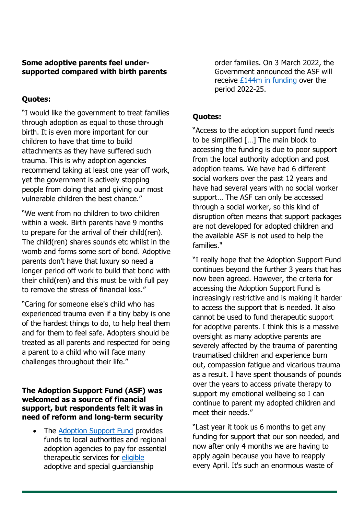### **Some adoptive parents feel undersupported compared with birth parents**

## **Quotes:**

"I would like the government to treat families through adoption as equal to those through birth. It is even more important for our children to have that time to build attachments as they have suffered such trauma. This is why adoption agencies recommend taking at least one year off work, yet the government is actively stopping people from doing that and giving our most vulnerable children the best chance."

"We went from no children to two children within a week. Birth parents have 9 months to prepare for the arrival of their child(ren). The child(ren) shares sounds etc whilst in the womb and forms some sort of bond. Adoptive parents don't have that luxury so need a longer period off work to build that bond with their child(ren) and this must be with full pay to remove the stress of financial loss."

"Caring for someone else's child who has experienced trauma even if a tiny baby is one of the hardest things to do, to help heal them and for them to feel safe. Adopters should be treated as all parents and respected for being a parent to a child who will face many challenges throughout their life."

### **The Adoption Support Fund (ASF) was welcomed as a source of financial support, but respondents felt it was in need of reform and long-term security**

 The [Adoption](https://www.gov.uk/guidance/adoption-support-fund-asf) [Support](https://www.gov.uk/guidance/adoption-support-fund-asf) [Fund](https://www.gov.uk/guidance/adoption-support-fund-asf) provides funds to local authorities and regional adoption agencies to pay for essential therapeutic services for [eligible](https://www.gov.uk/guidance/adoption-support-fund-asf#funding-eligibility) adoptive and special guardianship

order families. On 3 March 2022, the Government announced the ASF will receive [£144m](https://www.gov.uk/government/news/multi-million-pound-boost-for-new-families-as-adoptions-increase) [in](https://www.gov.uk/government/news/multi-million-pound-boost-for-new-families-as-adoptions-increase) [funding](https://www.gov.uk/government/news/multi-million-pound-boost-for-new-families-as-adoptions-increase) over the period 2022-25.

# **Quotes:**

"Access to the adoption support fund needs to be simplified […] The main block to accessing the funding is due to poor support from the local authority adoption and post adoption teams. We have had 6 different social workers over the past 12 years and have had several years with no social worker support… The ASF can only be accessed through a social worker, so this kind of disruption often means that support packages are not developed for adopted children and the available ASF is not used to help the families."

"I really hope that the Adoption Support Fund continues beyond the further 3 years that has now been agreed. However, the criteria for accessing the Adoption Support Fund is increasingly restrictive and is making it harder to access the support that is needed. It also cannot be used to fund therapeutic support for adoptive parents. I think this is a massive oversight as many adoptive parents are severely affected by the trauma of parenting traumatised children and experience burn out, compassion fatigue and vicarious trauma as a result. I have spent thousands of pounds over the years to access private therapy to support my emotional wellbeing so I can continue to parent my adopted children and meet their needs."

"Last year it took us 6 months to get any funding for support that our son needed, and now after only 4 months we are having to apply again because you have to reapply every April. It's such an enormous waste of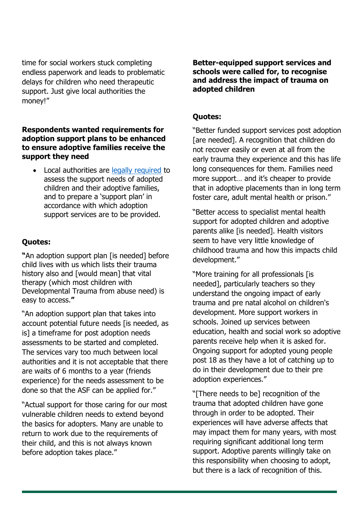time for social workers stuck completing endless paperwork and leads to problematic delays for children who need therapeutic support. Just give local authorities the money!"

### **Respondents wanted requirements for adoption support plans to be enhanced to ensure adoptive families receive the support they need**

 Local authorities are [legally](https://www.legislation.gov.uk/uksi/2005/691/made) [required](https://www.legislation.gov.uk/uksi/2005/691/made) to assess the support needs of adopted children and their adoptive families, and to prepare a 'support plan' in accordance with which adoption support services are to be provided.

## **Quotes:**

**"**An adoption support plan [is needed] before child lives with us which lists their trauma history also and [would mean] that vital therapy (which most children with Developmental Trauma from abuse need) is easy to access.**"**

"An adoption support plan that takes into account potential future needs [is needed, as is] a timeframe for post adoption needs assessments to be started and completed. The services vary too much between local authorities and it is not acceptable that there are waits of 6 months to a year (friends experience) for the needs assessment to be done so that the ASF can be applied for."

"Actual support for those caring for our most vulnerable children needs to extend beyond the basics for adopters. Many are unable to return to work due to the requirements of their child, and this is not always known before adoption takes place."

**Better-equipped support services and schools were called for, to recognise and address the impact of trauma on adopted children**

### **Quotes:**

"Better funded support services post adoption [are needed]. A recognition that children do not recover easily or even at all from the early trauma they experience and this has life long consequences for them. Families need more support… and it's cheaper to provide that in adoptive placements than in long term foster care, adult mental health or prison."

"Better access to specialist mental health support for adopted children and adoptive parents alike [is needed]. Health visitors seem to have very little knowledge of childhood trauma and how this impacts child development."

"More training for all professionals [is needed], particularly teachers so they understand the ongoing impact of early trauma and pre natal alcohol on children's development. More support workers in schools. Joined up services between education, health and social work so adoptive parents receive help when it is asked for. Ongoing support for adopted young people post 18 as they have a lot of catching up to do in their development due to their pre adoption experiences."

"[There needs to be] recognition of the trauma that adopted children have gone through in order to be adopted. Their experiences will have adverse affects that may impact them for many years, with most requiring significant additional long term support. Adoptive parents willingly take on this responsibility when choosing to adopt, but there is a lack of recognition of this.